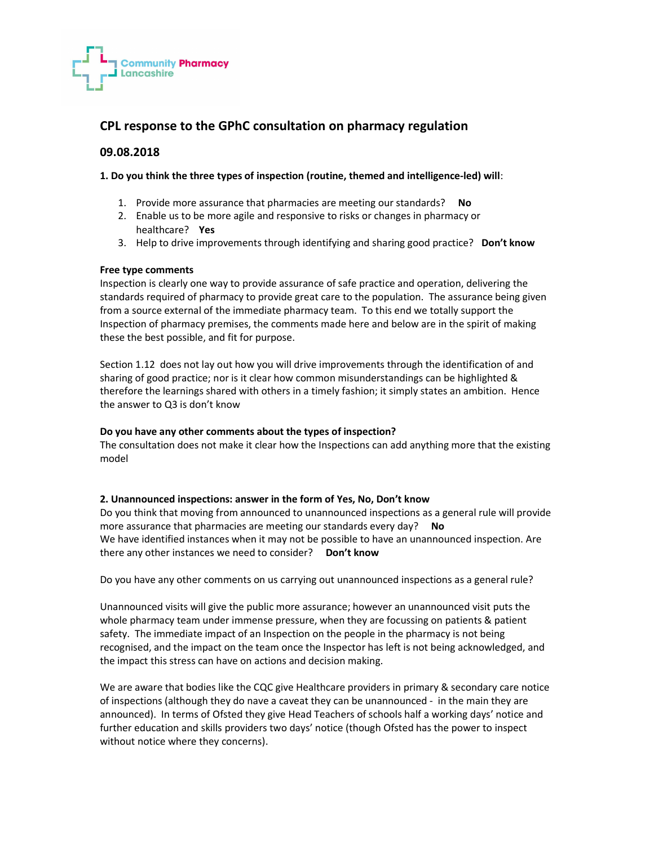

## CPL response to the GPhC consultation on pharmacy regulation

## 09.08.2018

## 1. Do you think the three types of inspection (routine, themed and intelligence-led) will:

- 1. Provide more assurance that pharmacies are meeting our standards? No
- 2. Enable us to be more agile and responsive to risks or changes in pharmacy or healthcare? Yes
- 3. Help to drive improvements through identifying and sharing good practice? Don't know

## Free type comments

Inspection is clearly one way to provide assurance of safe practice and operation, delivering the standards required of pharmacy to provide great care to the population. The assurance being given from a source external of the immediate pharmacy team. To this end we totally support the Inspection of pharmacy premises, the comments made here and below are in the spirit of making these the best possible, and fit for purpose.

Section 1.12 does not lay out how you will drive improvements through the identification of and sharing of good practice; nor is it clear how common misunderstandings can be highlighted & therefore the learnings shared with others in a timely fashion; it simply states an ambition. Hence the answer to Q3 is don't know

## Do you have any other comments about the types of inspection?

The consultation does not make it clear how the Inspections can add anything more that the existing model

## 2. Unannounced inspections: answer in the form of Yes, No, Don't know

Do you think that moving from announced to unannounced inspections as a general rule will provide more assurance that pharmacies are meeting our standards every day? No We have identified instances when it may not be possible to have an unannounced inspection. Are there any other instances we need to consider? Don't know

Do you have any other comments on us carrying out unannounced inspections as a general rule?

Unannounced visits will give the public more assurance; however an unannounced visit puts the whole pharmacy team under immense pressure, when they are focussing on patients & patient safety. The immediate impact of an Inspection on the people in the pharmacy is not being recognised, and the impact on the team once the Inspector has left is not being acknowledged, and the impact this stress can have on actions and decision making.

We are aware that bodies like the CQC give Healthcare providers in primary & secondary care notice of inspections (although they do nave a caveat they can be unannounced - in the main they are announced). In terms of Ofsted they give Head Teachers of schools half a working days' notice and further education and skills providers two days' notice (though Ofsted has the power to inspect without notice where they concerns).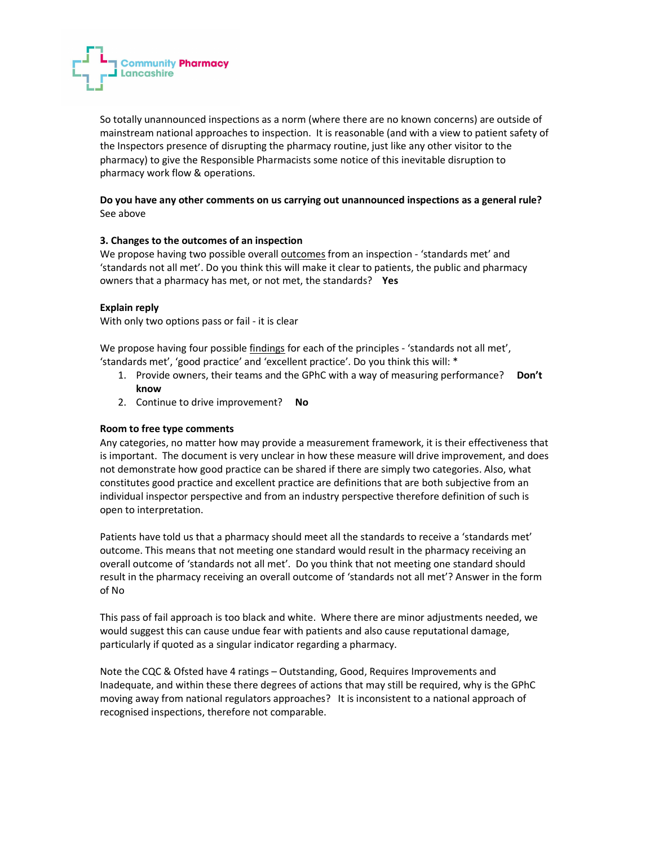So totally unannounced inspections as a norm (where there are no known concerns) are outside of mainstream national approaches to inspection. It is reasonable (and with a view to patient safety of the Inspectors presence of disrupting the pharmacy routine, just like any other visitor to the pharmacy) to give the Responsible Pharmacists some notice of this inevitable disruption to pharmacy work flow & operations.

## Do you have any other comments on us carrying out unannounced inspections as a general rule? See above

## 3. Changes to the outcomes of an inspection

**Community Pharmacy** 

**I** Lancashire

We propose having two possible overall outcomes from an inspection - 'standards met' and 'standards not all met'. Do you think this will make it clear to patients, the public and pharmacy owners that a pharmacy has met, or not met, the standards? Yes

#### Explain reply

With only two options pass or fail - it is clear

We propose having four possible findings for each of the principles - 'standards not all met', 'standards met', 'good practice' and 'excellent practice'. Do you think this will: \*

- 1. Provide owners, their teams and the GPhC with a way of measuring performance? Don't know
- 2. Continue to drive improvement? No

#### Room to free type comments

Any categories, no matter how may provide a measurement framework, it is their effectiveness that is important. The document is very unclear in how these measure will drive improvement, and does not demonstrate how good practice can be shared if there are simply two categories. Also, what constitutes good practice and excellent practice are definitions that are both subjective from an individual inspector perspective and from an industry perspective therefore definition of such is open to interpretation.

Patients have told us that a pharmacy should meet all the standards to receive a 'standards met' outcome. This means that not meeting one standard would result in the pharmacy receiving an overall outcome of 'standards not all met'. Do you think that not meeting one standard should result in the pharmacy receiving an overall outcome of 'standards not all met'? Answer in the form of No

This pass of fail approach is too black and white. Where there are minor adjustments needed, we would suggest this can cause undue fear with patients and also cause reputational damage, particularly if quoted as a singular indicator regarding a pharmacy.

Note the CQC & Ofsted have 4 ratings – Outstanding, Good, Requires Improvements and Inadequate, and within these there degrees of actions that may still be required, why is the GPhC moving away from national regulators approaches? It is inconsistent to a national approach of recognised inspections, therefore not comparable.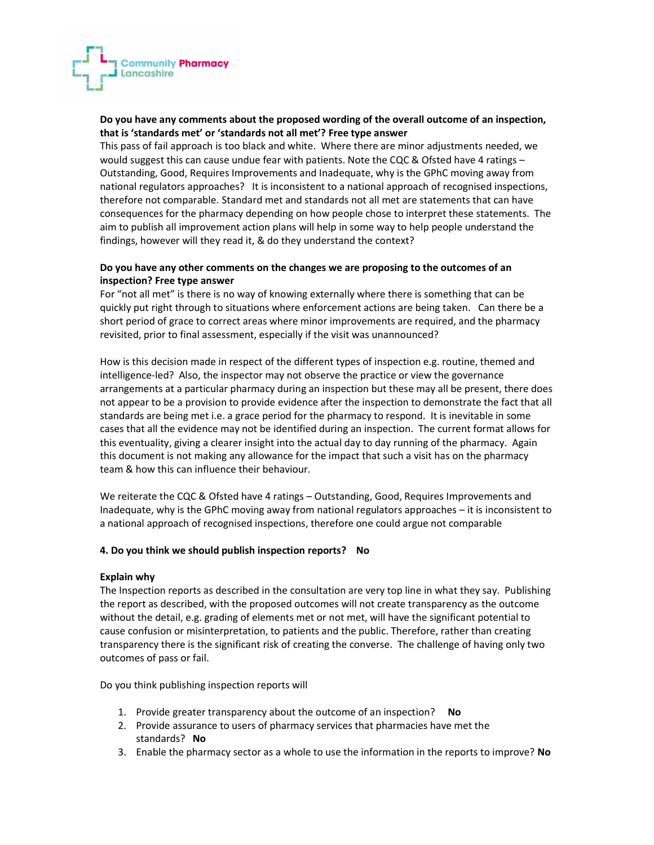# **Community Pharmacy Lancashire**

## Do you have any comments about the proposed wording of the overall outcome of an inspection, that is 'standards met' or 'standards not all met'? Free type answer

This pass of fail approach is too black and white. Where there are minor adjustments needed, we would suggest this can cause undue fear with patients. Note the CQC & Ofsted have 4 ratings – Outstanding, Good, Requires Improvements and Inadequate, why is the GPhC moving away from national regulators approaches? It is inconsistent to a national approach of recognised inspections, therefore not comparable. Standard met and standards not all met are statements that can have consequences for the pharmacy depending on how people chose to interpret these statements. The aim to publish all improvement action plans will help in some way to help people understand the findings, however will they read it, & do they understand the context?

## Do you have any other comments on the changes we are proposing to the outcomes of an inspection? Free type answer

For "not all met" is there is no way of knowing externally where there is something that can be quickly put right through to situations where enforcement actions are being taken. Can there be a short period of grace to correct areas where minor improvements are required, and the pharmacy revisited, prior to final assessment, especially if the visit was unannounced?

How is this decision made in respect of the different types of inspection e.g. routine, themed and intelligence-led? Also, the inspector may not observe the practice or view the governance arrangements at a particular pharmacy during an inspection but these may all be present, there does not appear to be a provision to provide evidence after the inspection to demonstrate the fact that all standards are being met i.e. a grace period for the pharmacy to respond. It is inevitable in some cases that all the evidence may not be identified during an inspection. The current format allows for this eventuality, giving a clearer insight into the actual day to day running of the pharmacy. Again this document is not making any allowance for the impact that such a visit has on the pharmacy team & how this can influence their behaviour.

We reiterate the CQC & Ofsted have 4 ratings – Outstanding, Good, Requires Improvements and Inadequate, why is the GPhC moving away from national regulators approaches – it is inconsistent to a national approach of recognised inspections, therefore one could argue not comparable

## 4. Do you think we should publish inspection reports? No

## Explain why

The Inspection reports as described in the consultation are very top line in what they say. Publishing the report as described, with the proposed outcomes will not create transparency as the outcome without the detail, e.g. grading of elements met or not met, will have the significant potential to cause confusion or misinterpretation, to patients and the public. Therefore, rather than creating transparency there is the significant risk of creating the converse. The challenge of having only two outcomes of pass or fail.

Do you think publishing inspection reports will

- 1. Provide greater transparency about the outcome of an inspection? No
- 2. Provide assurance to users of pharmacy services that pharmacies have met the standards? No
- 3. Enable the pharmacy sector as a whole to use the information in the reports to improve? No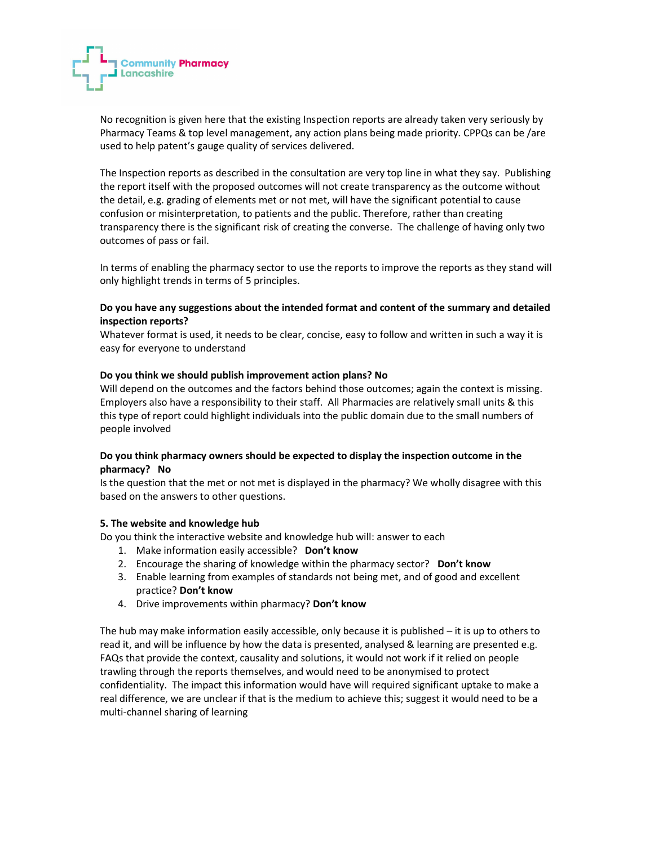

No recognition is given here that the existing Inspection reports are already taken very seriously by Pharmacy Teams & top level management, any action plans being made priority. CPPQs can be /are used to help patent's gauge quality of services delivered.

The Inspection reports as described in the consultation are very top line in what they say. Publishing the report itself with the proposed outcomes will not create transparency as the outcome without the detail, e.g. grading of elements met or not met, will have the significant potential to cause confusion or misinterpretation, to patients and the public. Therefore, rather than creating transparency there is the significant risk of creating the converse. The challenge of having only two outcomes of pass or fail.

In terms of enabling the pharmacy sector to use the reports to improve the reports as they stand will only highlight trends in terms of 5 principles.

## Do you have any suggestions about the intended format and content of the summary and detailed inspection reports?

Whatever format is used, it needs to be clear, concise, easy to follow and written in such a way it is easy for everyone to understand

#### Do you think we should publish improvement action plans? No

Will depend on the outcomes and the factors behind those outcomes; again the context is missing. Employers also have a responsibility to their staff. All Pharmacies are relatively small units & this this type of report could highlight individuals into the public domain due to the small numbers of people involved

## Do you think pharmacy owners should be expected to display the inspection outcome in the pharmacy? No

Is the question that the met or not met is displayed in the pharmacy? We wholly disagree with this based on the answers to other questions.

#### 5. The website and knowledge hub

Do you think the interactive website and knowledge hub will: answer to each

- 1. Make information easily accessible? Don't know
- 2. Encourage the sharing of knowledge within the pharmacy sector? Don't know
- 3. Enable learning from examples of standards not being met, and of good and excellent practice? Don't know
- 4. Drive improvements within pharmacy? Don't know

The hub may make information easily accessible, only because it is published – it is up to others to read it, and will be influence by how the data is presented, analysed & learning are presented e.g. FAQs that provide the context, causality and solutions, it would not work if it relied on people trawling through the reports themselves, and would need to be anonymised to protect confidentiality. The impact this information would have will required significant uptake to make a real difference, we are unclear if that is the medium to achieve this; suggest it would need to be a multi-channel sharing of learning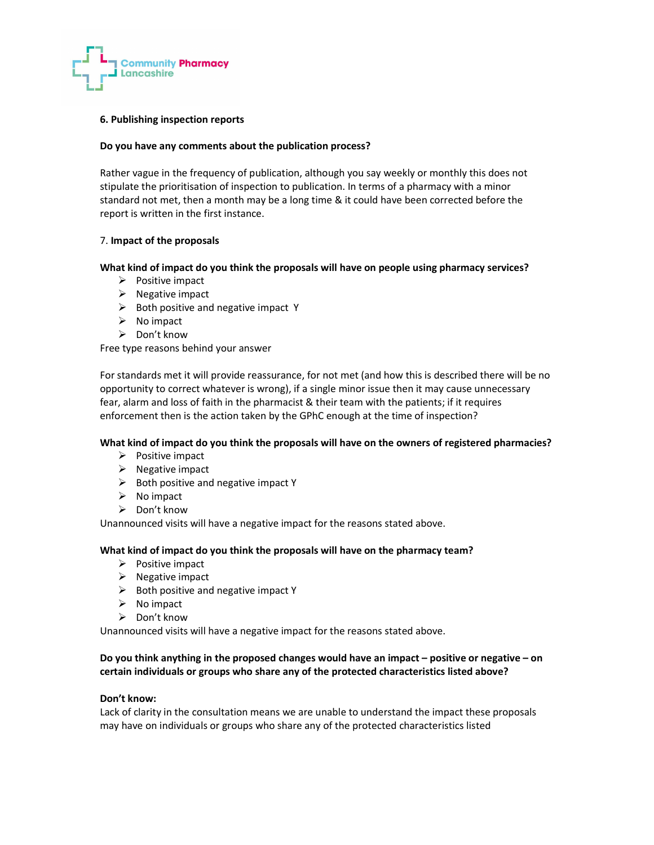

#### 6. Publishing inspection reports

#### Do you have any comments about the publication process?

Rather vague in the frequency of publication, although you say weekly or monthly this does not stipulate the prioritisation of inspection to publication. In terms of a pharmacy with a minor standard not met, then a month may be a long time & it could have been corrected before the report is written in the first instance.

## 7. Impact of the proposals

#### What kind of impact do you think the proposals will have on people using pharmacy services?

- $\triangleright$  Positive impact
- $\triangleright$  Negative impact
- $\triangleright$  Both positive and negative impact Y
- $\triangleright$  No impact
- $\triangleright$  Don't know

Free type reasons behind your answer

For standards met it will provide reassurance, for not met (and how this is described there will be no opportunity to correct whatever is wrong), if a single minor issue then it may cause unnecessary fear, alarm and loss of faith in the pharmacist & their team with the patients; if it requires enforcement then is the action taken by the GPhC enough at the time of inspection?

#### What kind of impact do you think the proposals will have on the owners of registered pharmacies?

- $\triangleright$  Positive impact
- $\triangleright$  Negative impact
- $\triangleright$  Both positive and negative impact Y
- $\triangleright$  No impact
- Don't know

Unannounced visits will have a negative impact for the reasons stated above.

#### What kind of impact do you think the proposals will have on the pharmacy team?

- $\triangleright$  Positive impact
- $\triangleright$  Negative impact
- $\triangleright$  Both positive and negative impact Y
- $\triangleright$  No impact
- $\triangleright$  Don't know

Unannounced visits will have a negative impact for the reasons stated above.

## Do you think anything in the proposed changes would have an impact – positive or negative – on certain individuals or groups who share any of the protected characteristics listed above?

#### Don't know:

Lack of clarity in the consultation means we are unable to understand the impact these proposals may have on individuals or groups who share any of the protected characteristics listed